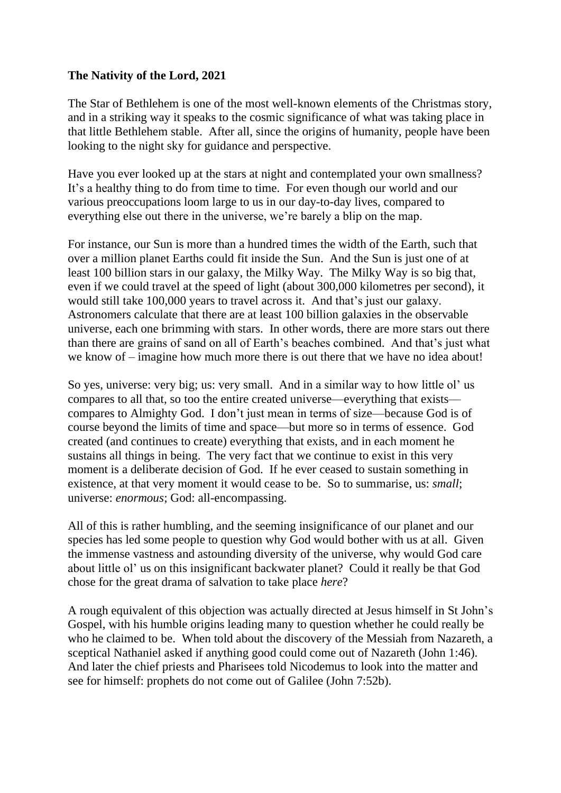## **The Nativity of the Lord, 2021**

The Star of Bethlehem is one of the most well-known elements of the Christmas story, and in a striking way it speaks to the cosmic significance of what was taking place in that little Bethlehem stable. After all, since the origins of humanity, people have been looking to the night sky for guidance and perspective.

Have you ever looked up at the stars at night and contemplated your own smallness? It's a healthy thing to do from time to time. For even though our world and our various preoccupations loom large to us in our day-to-day lives, compared to everything else out there in the universe, we're barely a blip on the map.

For instance, our Sun is more than a hundred times the width of the Earth, such that over a million planet Earths could fit inside the Sun. And the Sun is just one of at least 100 billion stars in our galaxy, the Milky Way. The Milky Way is so big that, even if we could travel at the speed of light (about 300,000 kilometres per second), it would still take 100,000 years to travel across it. And that's just our galaxy. Astronomers calculate that there are at least 100 billion galaxies in the observable universe, each one brimming with stars. In other words, there are more stars out there than there are grains of sand on all of Earth's beaches combined. And that's just what we know of – imagine how much more there is out there that we have no idea about!

So yes, universe: very big; us: very small. And in a similar way to how little ol' us compares to all that, so too the entire created universe—everything that exists compares to Almighty God. I don't just mean in terms of size—because God is of course beyond the limits of time and space—but more so in terms of essence. God created (and continues to create) everything that exists, and in each moment he sustains all things in being. The very fact that we continue to exist in this very moment is a deliberate decision of God. If he ever ceased to sustain something in existence, at that very moment it would cease to be. So to summarise, us: *small*; universe: *enormous*; God: all-encompassing.

All of this is rather humbling, and the seeming insignificance of our planet and our species has led some people to question why God would bother with us at all. Given the immense vastness and astounding diversity of the universe, why would God care about little ol' us on this insignificant backwater planet? Could it really be that God chose for the great drama of salvation to take place *here*?

A rough equivalent of this objection was actually directed at Jesus himself in St John's Gospel, with his humble origins leading many to question whether he could really be who he claimed to be. When told about the discovery of the Messiah from Nazareth, a sceptical Nathaniel asked if anything good could come out of Nazareth (John 1:46). And later the chief priests and Pharisees told Nicodemus to look into the matter and see for himself: prophets do not come out of Galilee (John 7:52b).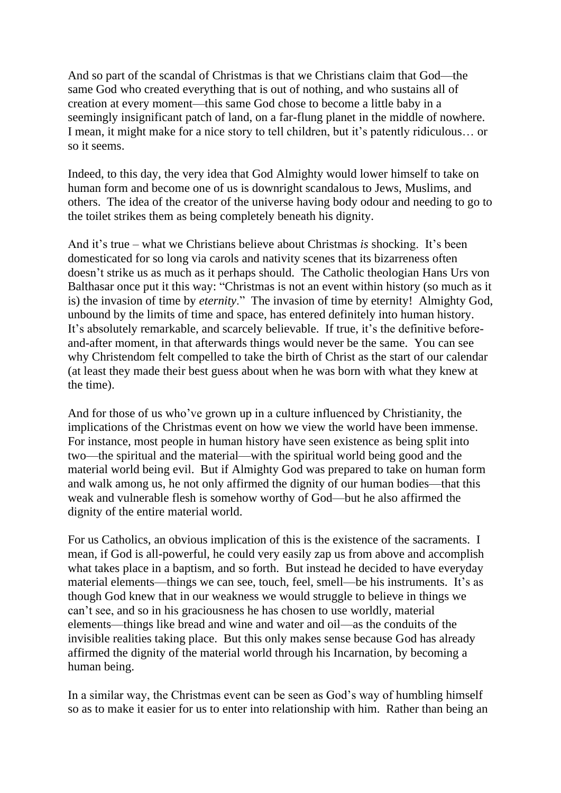And so part of the scandal of Christmas is that we Christians claim that God—the same God who created everything that is out of nothing, and who sustains all of creation at every moment—this same God chose to become a little baby in a seemingly insignificant patch of land, on a far-flung planet in the middle of nowhere. I mean, it might make for a nice story to tell children, but it's patently ridiculous… or so it seems.

Indeed, to this day, the very idea that God Almighty would lower himself to take on human form and become one of us is downright scandalous to Jews, Muslims, and others. The idea of the creator of the universe having body odour and needing to go to the toilet strikes them as being completely beneath his dignity.

And it's true – what we Christians believe about Christmas *is* shocking. It's been domesticated for so long via carols and nativity scenes that its bizarreness often doesn't strike us as much as it perhaps should. The Catholic theologian Hans Urs von Balthasar once put it this way: "Christmas is not an event within history (so much as it is) the invasion of time by *eternity*." The invasion of time by eternity! Almighty God, unbound by the limits of time and space, has entered definitely into human history. It's absolutely remarkable, and scarcely believable. If true, it's the definitive beforeand-after moment, in that afterwards things would never be the same. You can see why Christendom felt compelled to take the birth of Christ as the start of our calendar (at least they made their best guess about when he was born with what they knew at the time).

And for those of us who've grown up in a culture influenced by Christianity, the implications of the Christmas event on how we view the world have been immense. For instance, most people in human history have seen existence as being split into two—the spiritual and the material—with the spiritual world being good and the material world being evil. But if Almighty God was prepared to take on human form and walk among us, he not only affirmed the dignity of our human bodies—that this weak and vulnerable flesh is somehow worthy of God—but he also affirmed the dignity of the entire material world.

For us Catholics, an obvious implication of this is the existence of the sacraments. I mean, if God is all-powerful, he could very easily zap us from above and accomplish what takes place in a baptism, and so forth. But instead he decided to have everyday material elements—things we can see, touch, feel, smell—be his instruments. It's as though God knew that in our weakness we would struggle to believe in things we can't see, and so in his graciousness he has chosen to use worldly, material elements—things like bread and wine and water and oil—as the conduits of the invisible realities taking place. But this only makes sense because God has already affirmed the dignity of the material world through his Incarnation, by becoming a human being.

In a similar way, the Christmas event can be seen as God's way of humbling himself so as to make it easier for us to enter into relationship with him. Rather than being an